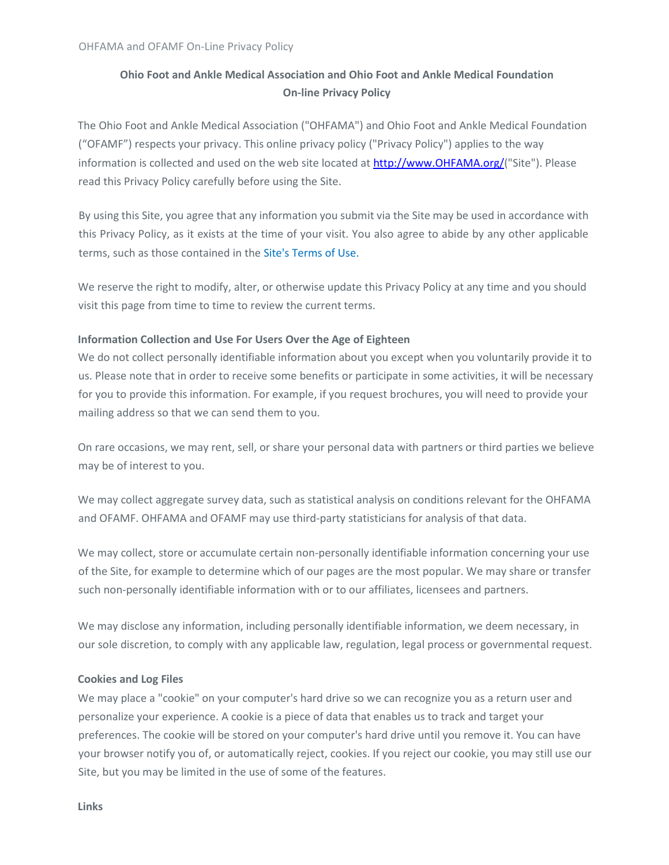# Ohio Foot and Ankle Medical Association and Ohio Foot and Ankle Medical Foundation On-line Privacy Policy

The Ohio Foot and Ankle Medical Association ("OHFAMA") and Ohio Foot and Ankle Medical Foundation ("OFAMF") respects your privacy. This online privacy policy ("Privacy Policy") applies to the way information is collected and used on the web site located at http://www.OHFAMA.org/("Site"). Please read this Privacy Policy carefully before using the Site.

By using this Site, you agree that any information you submit via the Site may be used in accordance with this Privacy Policy, as it exists at the time of your visit. You also agree to abide by any other applicable terms, such as those contained in the Site's Terms of Use.

We reserve the right to modify, alter, or otherwise update this Privacy Policy at any time and you should visit this page from time to time to review the current terms.

# Information Collection and Use For Users Over the Age of Eighteen

We do not collect personally identifiable information about you except when you voluntarily provide it to us. Please note that in order to receive some benefits or participate in some activities, it will be necessary for you to provide this information. For example, if you request brochures, you will need to provide your mailing address so that we can send them to you.

On rare occasions, we may rent, sell, or share your personal data with partners or third parties we believe may be of interest to you.

We may collect aggregate survey data, such as statistical analysis on conditions relevant for the OHFAMA and OFAMF. OHFAMA and OFAMF may use third-party statisticians for analysis of that data.

We may collect, store or accumulate certain non-personally identifiable information concerning your use of the Site, for example to determine which of our pages are the most popular. We may share or transfer such non-personally identifiable information with or to our affiliates, licensees and partners.

We may disclose any information, including personally identifiable information, we deem necessary, in our sole discretion, to comply with any applicable law, regulation, legal process or governmental request.

# Cookies and Log Files

We may place a "cookie" on your computer's hard drive so we can recognize you as a return user and personalize your experience. A cookie is a piece of data that enables us to track and target your preferences. The cookie will be stored on your computer's hard drive until you remove it. You can have your browser notify you of, or automatically reject, cookies. If you reject our cookie, you may still use our Site, but you may be limited in the use of some of the features.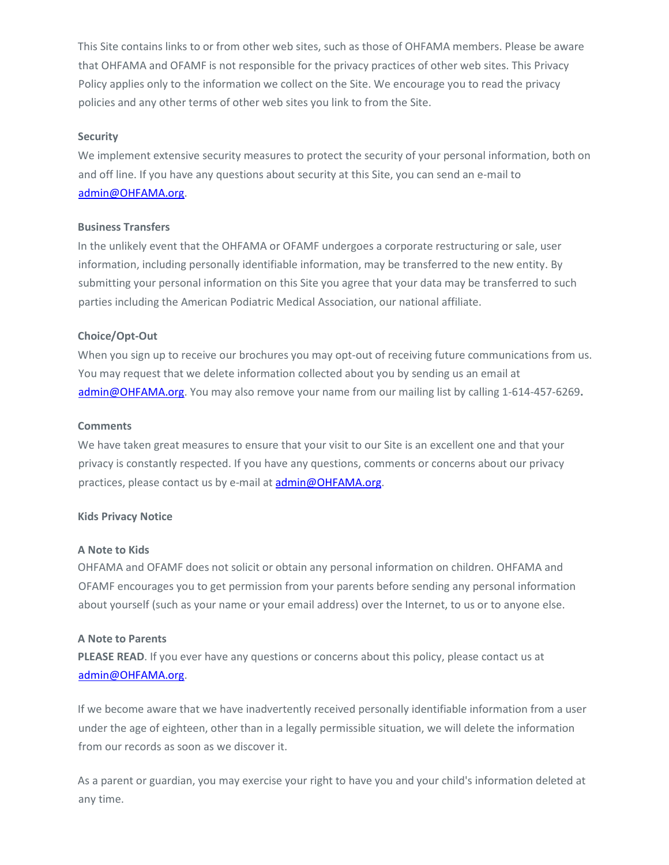This Site contains links to or from other web sites, such as those of OHFAMA members. Please be aware that OHFAMA and OFAMF is not responsible for the privacy practices of other web sites. This Privacy Policy applies only to the information we collect on the Site. We encourage you to read the privacy policies and any other terms of other web sites you link to from the Site.

### **Security**

We implement extensive security measures to protect the security of your personal information, both on and off line. If you have any questions about security at this Site, you can send an e-mail to admin@OHFAMA.org.

## Business Transfers

In the unlikely event that the OHFAMA or OFAMF undergoes a corporate restructuring or sale, user information, including personally identifiable information, may be transferred to the new entity. By submitting your personal information on this Site you agree that your data may be transferred to such parties including the American Podiatric Medical Association, our national affiliate.

## Choice/Opt-Out

When you sign up to receive our brochures you may opt-out of receiving future communications from us. You may request that we delete information collected about you by sending us an email at admin@OHFAMA.org. You may also remove your name from our mailing list by calling 1-614-457-6269.

#### **Comments**

We have taken great measures to ensure that your visit to our Site is an excellent one and that your privacy is constantly respected. If you have any questions, comments or concerns about our privacy practices, please contact us by e-mail at admin@OHFAMA.org.

#### Kids Privacy Notice

#### A Note to Kids

OHFAMA and OFAMF does not solicit or obtain any personal information on children. OHFAMA and OFAMF encourages you to get permission from your parents before sending any personal information about yourself (such as your name or your email address) over the Internet, to us or to anyone else.

#### A Note to Parents

PLEASE READ. If you ever have any questions or concerns about this policy, please contact us at admin@OHFAMA.org.

If we become aware that we have inadvertently received personally identifiable information from a user under the age of eighteen, other than in a legally permissible situation, we will delete the information from our records as soon as we discover it.

As a parent or guardian, you may exercise your right to have you and your child's information deleted at any time.